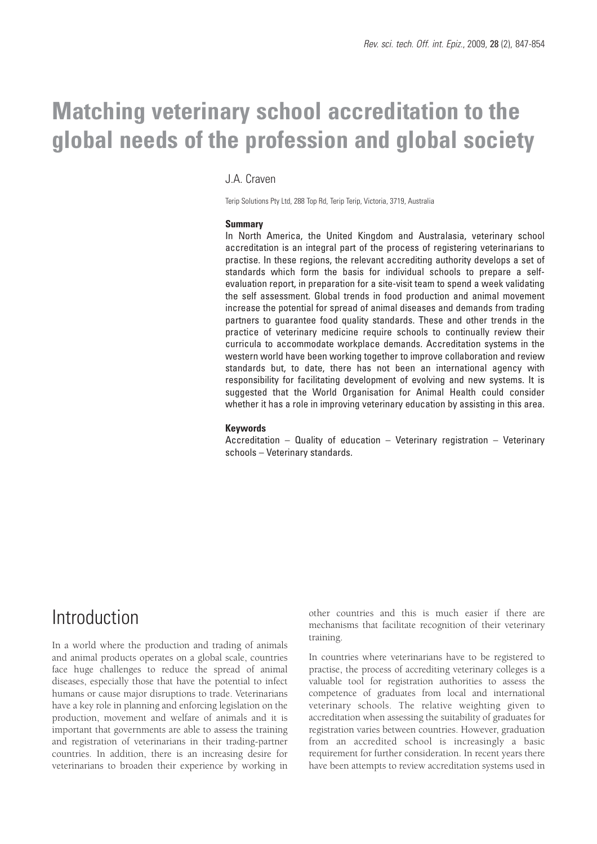# **Matching veterinary school accreditation to the global needs of the profession and global society**

#### J.A. Craven

Terip Solutions Pty Ltd, 288 Top Rd, Terip Terip, Victoria, 3719, Australia

#### **Summary**

In North America, the United Kingdom and Australasia, veterinary school accreditation is an integral part of the process of registering veterinarians to practise. In these regions, the relevant accrediting authority develops a set of standards which form the basis for individual schools to prepare a selfevaluation report, in preparation for a site-visit team to spend a week validating the self assessment. Global trends in food production and animal movement increase the potential for spread of animal diseases and demands from trading partners to guarantee food quality standards. These and other trends in the practice of veterinary medicine require schools to continually review their curricula to accommodate workplace demands. Accreditation systems in the western world have been working together to improve collaboration and review standards but, to date, there has not been an international agency with responsibility for facilitating development of evolving and new systems. It is suggested that the World Organisation for Animal Health could consider whether it has a role in improving veterinary education by assisting in this area.

#### **Keywords**

Accreditation – Quality of education – Veterinary registration – Veterinary schools – Veterinary standards.

## Introduction

In a world where the production and trading of animals and animal products operates on a global scale, countries face huge challenges to reduce the spread of animal diseases, especially those that have the potential to infect humans or cause major disruptions to trade. Veterinarians have a key role in planning and enforcing legislation on the production, movement and welfare of animals and it is important that governments are able to assess the training and registration of veterinarians in their trading-partner countries. In addition, there is an increasing desire for veterinarians to broaden their experience by working in other countries and this is much easier if there are mechanisms that facilitate recognition of their veterinary training.

In countries where veterinarians have to be registered to practise, the process of accrediting veterinary colleges is a valuable tool for registration authorities to assess the competence of graduates from local and international veterinary schools. The relative weighting given to accreditation when assessing the suitability of graduates for registration varies between countries. However, graduation from an accredited school is increasingly a basic requirement for further consideration. In recent years there have been attempts to review accreditation systems used in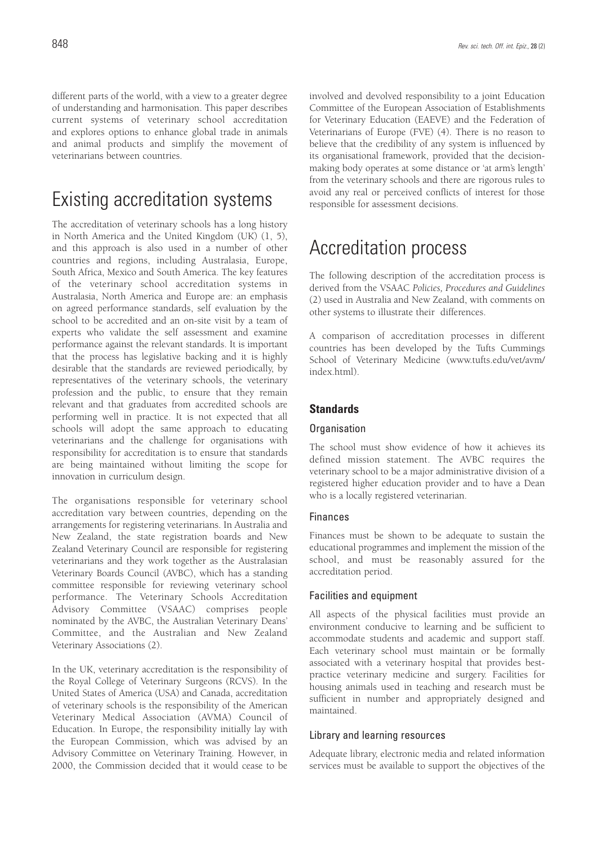different parts of the world, with a view to a greater degree of understanding and harmonisation. This paper describes current systems of veterinary school accreditation and explores options to enhance global trade in animals and animal products and simplify the movement of veterinarians between countries.

# Existing accreditation systems

The accreditation of veterinary schools has a long history in North America and the United Kingdom (UK) (1, 5), and this approach is also used in a number of other countries and regions, including Australasia, Europe, South Africa, Mexico and South America. The key features of the veterinary school accreditation systems in Australasia, North America and Europe are: an emphasis on agreed performance standards, self evaluation by the school to be accredited and an on-site visit by a team of experts who validate the self assessment and examine performance against the relevant standards. It is important that the process has legislative backing and it is highly desirable that the standards are reviewed periodically, by representatives of the veterinary schools, the veterinary profession and the public, to ensure that they remain relevant and that graduates from accredited schools are performing well in practice. It is not expected that all schools will adopt the same approach to educating veterinarians and the challenge for organisations with responsibility for accreditation is to ensure that standards are being maintained without limiting the scope for innovation in curriculum design.

The organisations responsible for veterinary school accreditation vary between countries, depending on the arrangements for registering veterinarians. In Australia and New Zealand, the state registration boards and New Zealand Veterinary Council are responsible for registering veterinarians and they work together as the Australasian Veterinary Boards Council (AVBC), which has a standing committee responsible for reviewing veterinary school performance. The Veterinary Schools Accreditation Advisory Committee (VSAAC) comprises people nominated by the AVBC, the Australian Veterinary Deans' Committee, and the Australian and New Zealand Veterinary Associations (2).

In the UK, veterinary accreditation is the responsibility of the Royal College of Veterinary Surgeons (RCVS). In the United States of America (USA) and Canada, accreditation of veterinary schools is the responsibility of the American Veterinary Medical Association (AVMA) Council of Education. In Europe, the responsibility initially lay with the European Commission, which was advised by an Advisory Committee on Veterinary Training. However, in 2000, the Commission decided that it would cease to be involved and devolved responsibility to a joint Education Committee of the European Association of Establishments for Veterinary Education (EAEVE) and the Federation of Veterinarians of Europe (FVE) (4). There is no reason to believe that the credibility of any system is influenced by its organisational framework, provided that the decisionmaking body operates at some distance or 'at arm's length' from the veterinary schools and there are rigorous rules to avoid any real or perceived conflicts of interest for those responsible for assessment decisions.

# Accreditation process

The following description of the accreditation process is derived from the VSAAC *Policies, Procedures and Guidelines* (2) used in Australia and New Zealand, with comments on other systems to illustrate their differences.

A comparison of accreditation processes in different countries has been developed by the Tufts Cummings School of Veterinary Medicine (www.tufts.edu/vet/avm/ index.html).

### **Standards**

#### Organisation

The school must show evidence of how it achieves its defined mission statement. The AVBC requires the veterinary school to be a major administrative division of a registered higher education provider and to have a Dean who is a locally registered veterinarian.

#### Finances

Finances must be shown to be adequate to sustain the educational programmes and implement the mission of the school, and must be reasonably assured for the accreditation period.

#### Facilities and equipment

All aspects of the physical facilities must provide an environment conducive to learning and be sufficient to accommodate students and academic and support staff. Each veterinary school must maintain or be formally associated with a veterinary hospital that provides bestpractice veterinary medicine and surgery. Facilities for housing animals used in teaching and research must be sufficient in number and appropriately designed and maintained.

#### Library and learning resources

Adequate library, electronic media and related information services must be available to support the objectives of the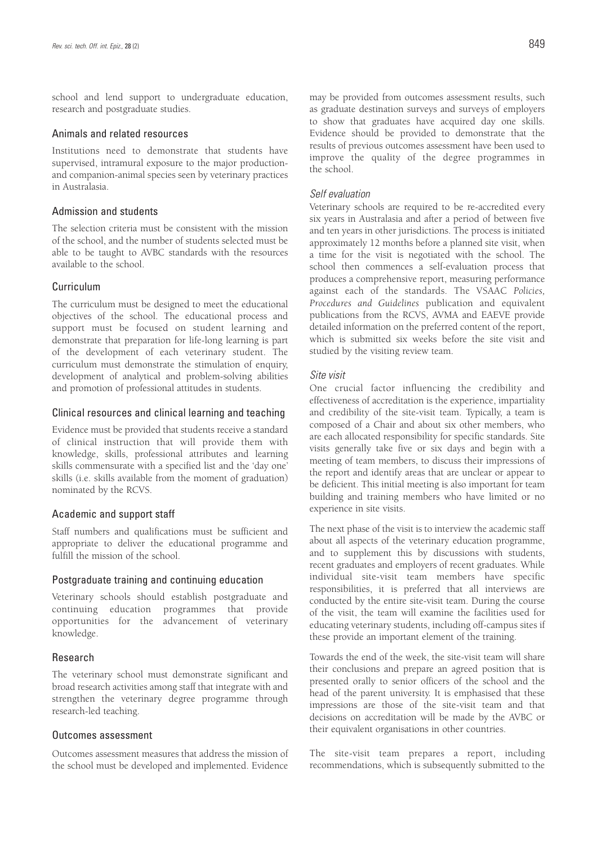school and lend support to undergraduate education, research and postgraduate studies.

#### Animals and related resources

Institutions need to demonstrate that students have supervised, intramural exposure to the major productionand companion-animal species seen by veterinary practices in Australasia.

#### Admission and students

The selection criteria must be consistent with the mission of the school, and the number of students selected must be able to be taught to AVBC standards with the resources available to the school.

#### Curriculum

The curriculum must be designed to meet the educational objectives of the school. The educational process and support must be focused on student learning and demonstrate that preparation for life-long learning is part of the development of each veterinary student. The curriculum must demonstrate the stimulation of enquiry, development of analytical and problem-solving abilities and promotion of professional attitudes in students.

#### Clinical resources and clinical learning and teaching

Evidence must be provided that students receive a standard of clinical instruction that will provide them with knowledge, skills, professional attributes and learning skills commensurate with a specified list and the 'day one' skills (i.e. skills available from the moment of graduation) nominated by the RCVS.

#### Academic and support staff

Staff numbers and qualifications must be sufficient and appropriate to deliver the educational programme and fulfill the mission of the school.

#### Postgraduate training and continuing education

Veterinary schools should establish postgraduate and continuing education programmes that provide opportunities for the advancement of veterinary knowledge.

#### Research

The veterinary school must demonstrate significant and broad research activities among staff that integrate with and strengthen the veterinary degree programme through research-led teaching.

#### Outcomes assessment

Outcomes assessment measures that address the mission of the school must be developed and implemented. Evidence

may be provided from outcomes assessment results, such as graduate destination surveys and surveys of employers to show that graduates have acquired day one skills. Evidence should be provided to demonstrate that the results of previous outcomes assessment have been used to improve the quality of the degree programmes in the school.

#### *Self evaluation*

Veterinary schools are required to be re-accredited every six years in Australasia and after a period of between five and ten years in other jurisdictions. The process is initiated approximately 12 months before a planned site visit, when a time for the visit is negotiated with the school. The school then commences a self-evaluation process that produces a comprehensive report, measuring performance against each of the standards. The VSAAC *Policies, Procedures and Guidelines* publication and equivalent publications from the RCVS, AVMA and EAEVE provide detailed information on the preferred content of the report, which is submitted six weeks before the site visit and studied by the visiting review team.

#### *Site visit*

One crucial factor influencing the credibility and effectiveness of accreditation is the experience, impartiality and credibility of the site-visit team. Typically, a team is composed of a Chair and about six other members, who are each allocated responsibility for specific standards. Site visits generally take five or six days and begin with a meeting of team members, to discuss their impressions of the report and identify areas that are unclear or appear to be deficient. This initial meeting is also important for team building and training members who have limited or no experience in site visits.

The next phase of the visit is to interview the academic staff about all aspects of the veterinary education programme, and to supplement this by discussions with students, recent graduates and employers of recent graduates. While individual site-visit team members have specific responsibilities, it is preferred that all interviews are conducted by the entire site-visit team. During the course of the visit, the team will examine the facilities used for educating veterinary students, including off-campus sites if these provide an important element of the training.

Towards the end of the week, the site-visit team will share their conclusions and prepare an agreed position that is presented orally to senior officers of the school and the head of the parent university. It is emphasised that these impressions are those of the site-visit team and that decisions on accreditation will be made by the AVBC or their equivalent organisations in other countries.

The site-visit team prepares a report, including recommendations, which is subsequently submitted to the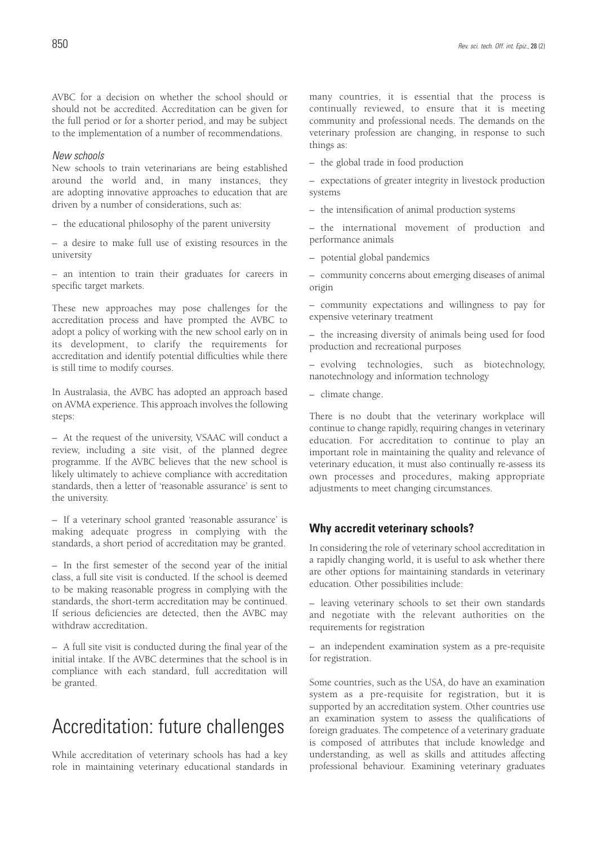AVBC for a decision on whether the school should or should not be accredited. Accreditation can be given for the full period or for a shorter period, and may be subject to the implementation of a number of recommendations.

#### *New schools*

New schools to train veterinarians are being established around the world and, in many instances, they are adopting innovative approaches to education that are driven by a number of considerations, such as:

– the educational philosophy of the parent university

– a desire to make full use of existing resources in the university

– an intention to train their graduates for careers in specific target markets.

These new approaches may pose challenges for the accreditation process and have prompted the AVBC to adopt a policy of working with the new school early on in its development, to clarify the requirements for accreditation and identify potential difficulties while there is still time to modify courses.

In Australasia, the AVBC has adopted an approach based on AVMA experience. This approach involves the following steps:

– At the request of the university, VSAAC will conduct a review, including a site visit, of the planned degree programme. If the AVBC believes that the new school is likely ultimately to achieve compliance with accreditation standards, then a letter of 'reasonable assurance' is sent to the university.

– If a veterinary school granted 'reasonable assurance' is making adequate progress in complying with the standards, a short period of accreditation may be granted.

– In the first semester of the second year of the initial class, a full site visit is conducted. If the school is deemed to be making reasonable progress in complying with the standards, the short-term accreditation may be continued. If serious deficiencies are detected, then the AVBC may withdraw accreditation.

– A full site visit is conducted during the final year of the initial intake. If the AVBC determines that the school is in compliance with each standard, full accreditation will be granted.

### Accreditation: future challenges

While accreditation of veterinary schools has had a key role in maintaining veterinary educational standards in many countries, it is essential that the process is continually reviewed, to ensure that it is meeting community and professional needs. The demands on the veterinary profession are changing, in response to such things as:

– the global trade in food production

– expectations of greater integrity in livestock production systems

– the intensification of animal production systems

– the international movement of production and performance animals

– potential global pandemics

– community concerns about emerging diseases of animal origin

– community expectations and willingness to pay for expensive veterinary treatment

– the increasing diversity of animals being used for food production and recreational purposes

– evolving technologies, such as biotechnology, nanotechnology and information technology

– climate change.

There is no doubt that the veterinary workplace will continue to change rapidly, requiring changes in veterinary education. For accreditation to continue to play an important role in maintaining the quality and relevance of veterinary education, it must also continually re-assess its own processes and procedures, making appropriate adjustments to meet changing circumstances.

#### **Why accredit veterinary schools?**

In considering the role of veterinary school accreditation in a rapidly changing world, it is useful to ask whether there are other options for maintaining standards in veterinary education. Other possibilities include:

– leaving veterinary schools to set their own standards and negotiate with the relevant authorities on the requirements for registration

– an independent examination system as a pre-requisite for registration.

Some countries, such as the USA, do have an examination system as a pre-requisite for registration, but it is supported by an accreditation system. Other countries use an examination system to assess the qualifications of foreign graduates. The competence of a veterinary graduate is composed of attributes that include knowledge and understanding, as well as skills and attitudes affecting professional behaviour. Examining veterinary graduates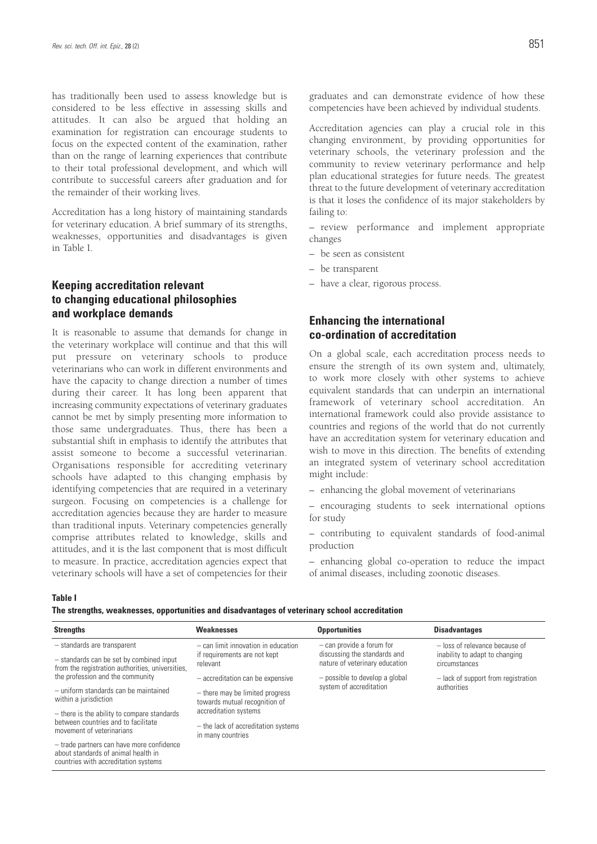has traditionally been used to assess knowledge but is considered to be less effective in assessing skills and attitudes. It can also be argued that holding an examination for registration can encourage students to focus on the expected content of the examination, rather than on the range of learning experiences that contribute to their total professional development, and which will contribute to successful careers after graduation and for the remainder of their working lives.

Accreditation has a long history of maintaining standards for veterinary education. A brief summary of its strengths, weaknesses, opportunities and disadvantages is given in Table I.

### **Keeping accreditation relevant to changing educational philosophies and workplace demands**

It is reasonable to assume that demands for change in the veterinary workplace will continue and that this will put pressure on veterinary schools to produce veterinarians who can work in different environments and have the capacity to change direction a number of times during their career. It has long been apparent that increasing community expectations of veterinary graduates cannot be met by simply presenting more information to those same undergraduates. Thus, there has been a substantial shift in emphasis to identify the attributes that assist someone to become a successful veterinarian. Organisations responsible for accrediting veterinary schools have adapted to this changing emphasis by identifying competencies that are required in a veterinary surgeon. Focusing on competencies is a challenge for accreditation agencies because they are harder to measure than traditional inputs. Veterinary competencies generally comprise attributes related to knowledge, skills and attitudes, and it is the last component that is most difficult to measure. In practice, accreditation agencies expect that veterinary schools will have a set of competencies for their

graduates and can demonstrate evidence of how these competencies have been achieved by individual students.

Accreditation agencies can play a crucial role in this changing environment, by providing opportunities for veterinary schools, the veterinary profession and the community to review veterinary performance and help plan educational strategies for future needs. The greatest threat to the future development of veterinary accreditation is that it loses the confidence of its major stakeholders by failing to:

– review performance and implement appropriate changes

- be seen as consistent
- be transparent
- have a clear, rigorous process.

### **Enhancing the international co-ordination of accreditation**

On a global scale, each accreditation process needs to ensure the strength of its own system and, ultimately, to work more closely with other systems to achieve equivalent standards that can underpin an international framework of veterinary school accreditation. An international framework could also provide assistance to countries and regions of the world that do not currently have an accreditation system for veterinary education and wish to move in this direction. The benefits of extending an integrated system of veterinary school accreditation might include:

– enhancing the global movement of veterinarians

– encouraging students to seek international options for study

– contributing to equivalent standards of food-animal production

– enhancing global co-operation to reduce the impact of animal diseases, including zoonotic diseases.

#### **Table I**

**The strengths, weaknesses, opportunities and disadvantages of veterinary school accreditation**

| <b>Strengths</b>                                                                                                            | <b>Weaknesses</b>                                                                         | <b>Opportunities</b>                                                                          | <b>Disadvantages</b>                                                              |
|-----------------------------------------------------------------------------------------------------------------------------|-------------------------------------------------------------------------------------------|-----------------------------------------------------------------------------------------------|-----------------------------------------------------------------------------------|
| - standards are transparent<br>- standards can be set by combined input<br>from the registration authorities, universities, | $-$ can limit innovation in education<br>if requirements are not kept<br>relevant         | $-$ can provide a forum for<br>discussing the standards and<br>nature of veterinary education | - loss of relevance because of<br>inability to adapt to changing<br>circumstances |
| the profession and the community                                                                                            | $-$ accreditation can be expensive                                                        | - possible to develop a global<br>system of accreditation                                     | - lack of support from registration<br>authorities                                |
| $-$ uniform standards can be maintained<br>within a jurisdiction                                                            | - there may be limited progress<br>towards mutual recognition of<br>accreditation systems |                                                                                               |                                                                                   |
| - there is the ability to compare standards<br>between countries and to facilitate<br>movement of veterinarians             |                                                                                           |                                                                                               |                                                                                   |
|                                                                                                                             | - the lack of accreditation systems<br>in many countries                                  |                                                                                               |                                                                                   |
| - trade partners can have more confidence<br>about standards of animal health in<br>countries with accreditation systems    |                                                                                           |                                                                                               |                                                                                   |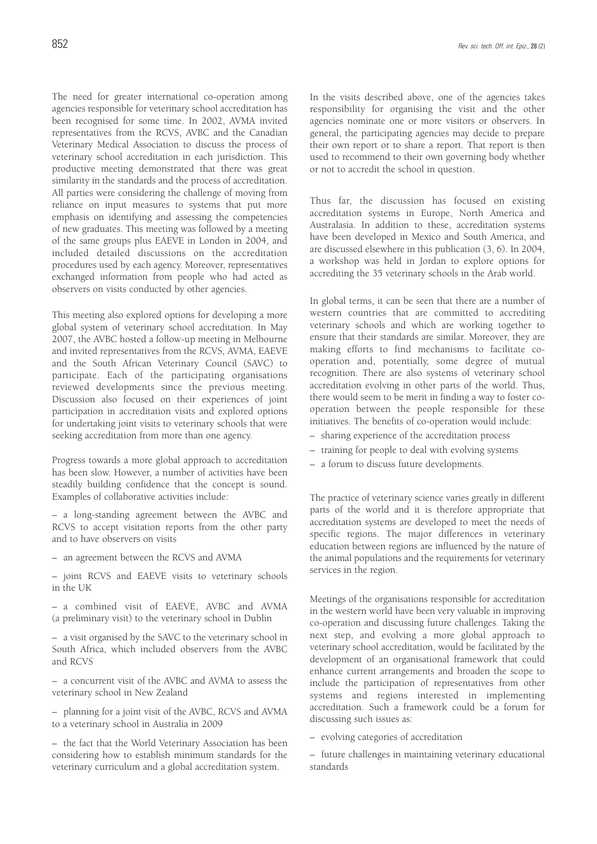The need for greater international co-operation among agencies responsible for veterinary school accreditation has been recognised for some time. In 2002, AVMA invited representatives from the RCVS, AVBC and the Canadian Veterinary Medical Association to discuss the process of veterinary school accreditation in each jurisdiction. This productive meeting demonstrated that there was great similarity in the standards and the process of accreditation. All parties were considering the challenge of moving from reliance on input measures to systems that put more emphasis on identifying and assessing the competencies of new graduates. This meeting was followed by a meeting of the same groups plus EAEVE in London in 2004, and included detailed discussions on the accreditation procedures used by each agency. Moreover, representatives exchanged information from people who had acted as observers on visits conducted by other agencies.

This meeting also explored options for developing a more global system of veterinary school accreditation. In May 2007, the AVBC hosted a follow-up meeting in Melbourne and invited representatives from the RCVS, AVMA, EAEVE and the South African Veterinary Council (SAVC) to participate. Each of the participating organisations reviewed developments since the previous meeting. Discussion also focused on their experiences of joint participation in accreditation visits and explored options for undertaking joint visits to veterinary schools that were seeking accreditation from more than one agency.

Progress towards a more global approach to accreditation has been slow. However, a number of activities have been steadily building confidence that the concept is sound. Examples of collaborative activities include:

– a long-standing agreement between the AVBC and RCVS to accept visitation reports from the other party and to have observers on visits

– an agreement between the RCVS and AVMA

– joint RCVS and EAEVE visits to veterinary schools in the UK

– a combined visit of EAEVE, AVBC and AVMA (a preliminary visit) to the veterinary school in Dublin

– a visit organised by the SAVC to the veterinary school in South Africa, which included observers from the AVBC and RCVS

– a concurrent visit of the AVBC and AVMA to assess the veterinary school in New Zealand

– planning for a joint visit of the AVBC, RCVS and AVMA to a veterinary school in Australia in 2009

– the fact that the World Veterinary Association has been considering how to establish minimum standards for the veterinary curriculum and a global accreditation system.

In the visits described above, one of the agencies takes responsibility for organising the visit and the other agencies nominate one or more visitors or observers. In general, the participating agencies may decide to prepare their own report or to share a report. That report is then used to recommend to their own governing body whether or not to accredit the school in question.

Thus far, the discussion has focused on existing accreditation systems in Europe, North America and Australasia. In addition to these, accreditation systems have been developed in Mexico and South America, and are discussed elsewhere in this publication (3, 6). In 2004, a workshop was held in Jordan to explore options for accrediting the 35 veterinary schools in the Arab world.

In global terms, it can be seen that there are a number of western countries that are committed to accrediting veterinary schools and which are working together to ensure that their standards are similar. Moreover, they are making efforts to find mechanisms to facilitate cooperation and, potentially, some degree of mutual recognition. There are also systems of veterinary school accreditation evolving in other parts of the world. Thus, there would seem to be merit in finding a way to foster cooperation between the people responsible for these initiatives. The benefits of co-operation would include:

- sharing experience of the accreditation process
- training for people to deal with evolving systems
- a forum to discuss future developments.

The practice of veterinary science varies greatly in different parts of the world and it is therefore appropriate that accreditation systems are developed to meet the needs of specific regions. The major differences in veterinary education between regions are influenced by the nature of the animal populations and the requirements for veterinary services in the region.

Meetings of the organisations responsible for accreditation in the western world have been very valuable in improving co-operation and discussing future challenges. Taking the next step, and evolving a more global approach to veterinary school accreditation, would be facilitated by the development of an organisational framework that could enhance current arrangements and broaden the scope to include the participation of representatives from other systems and regions interested in implementing accreditation. Such a framework could be a forum for discussing such issues as:

– evolving categories of accreditation

– future challenges in maintaining veterinary educational standards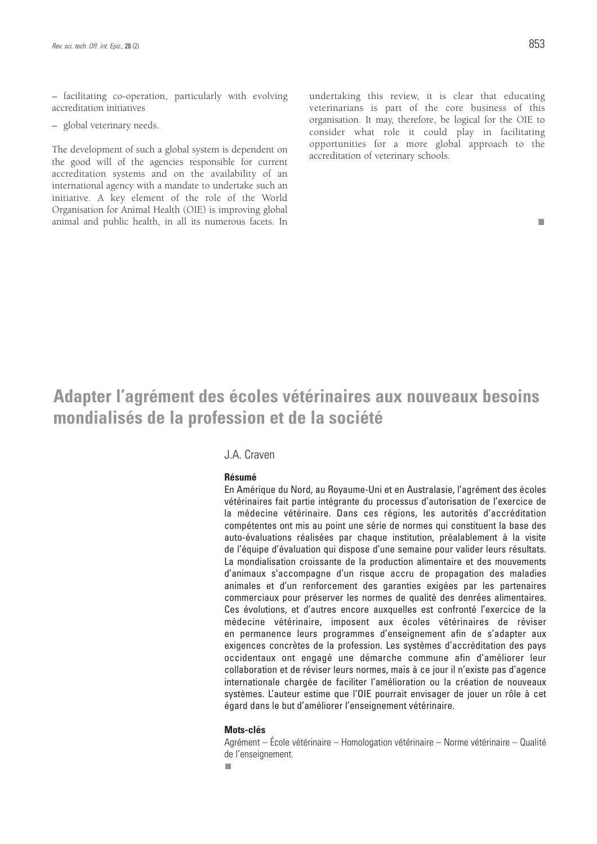– facilitating co-operation, particularly with evolving accreditation initiatives

– global veterinary needs.

The development of such a global system is dependent on the good will of the agencies responsible for current accreditation systems and on the availability of an international agency with a mandate to undertake such an initiative. A key element of the role of the World Organisation for Animal Health (OIE) is improving global animal and public health, in all its numerous facets. In undertaking this review, it is clear that educating veterinarians is part of the core business of this organisation. It may, therefore, be logical for the OIE to consider what role it could play in facilitating opportunities for a more global approach to the accreditation of veterinary schools.

#### m.

# **Adapter l'agrément des écoles vétérinaires aux nouveaux besoins mondialisés de la profession et de la société**

### J.A. Craven

#### **Résumé**

En Amérique du Nord, au Royaume-Uni et en Australasie, l'agrément des écoles vétérinaires fait partie intégrante du processus d'autorisation de l'exercice de la médecine vétérinaire. Dans ces régions, les autorités d'accréditation compétentes ont mis au point une série de normes qui constituent la base des auto-évaluations réalisées par chaque institution, préalablement à la visite de l'équipe d'évaluation qui dispose d'une semaine pour valider leurs résultats. La mondialisation croissante de la production alimentaire et des mouvements d'animaux s'accompagne d'un risque accru de propagation des maladies animales et d'un renforcement des garanties exigées par les partenaires commerciaux pour préserver les normes de qualité des denrées alimentaires. Ces évolutions, et d'autres encore auxquelles est confronté l'exercice de la médecine vétérinaire, imposent aux écoles vétérinaires de réviser en permanence leurs programmes d'enseignement afin de s'adapter aux exigences concrètes de la profession. Les systèmes d'accréditation des pays occidentaux ont engagé une démarche commune afin d'améliorer leur collaboration et de réviser leurs normes, mais à ce jour il n'existe pas d'agence internationale chargée de faciliter l'amélioration ou la création de nouveaux systèmes. L'auteur estime que l'OIE pourrait envisager de jouer un rôle à cet égard dans le but d'améliorer l'enseignement vétérinaire.

#### **Mots-clés**

Agrément – École vétérinaire – Homologation vétérinaire – Norme vétérinaire – Qualité de l'enseignement.

×